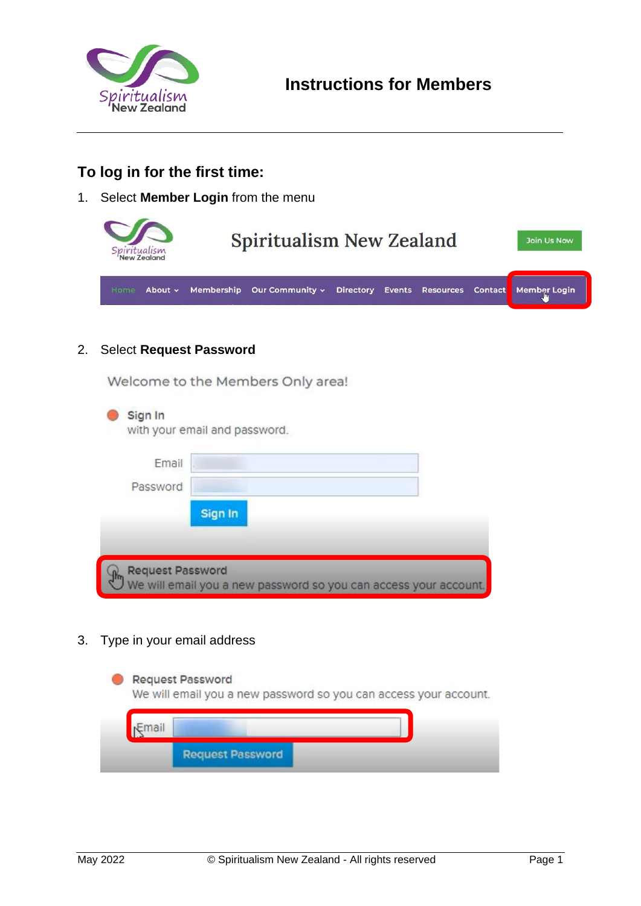

# **To log in for the first time:**

1. Select **Member Login** from the menu

| ritualism<br>'New Zealand | <b>Spiritualism New Zealand</b> |  |  | Join Us Now                                     |
|---------------------------|---------------------------------|--|--|-------------------------------------------------|
| About $\sim$<br>Home      | Membership Our Community v      |  |  | Directory Events Resources Contact Member Login |

2. Select **Request Password**

Welcome to the Members Only area!

| Email    |         |  |
|----------|---------|--|
| Password |         |  |
|          | Sign In |  |
|          |         |  |

3. Type in your email address

|              | <b>Request Password</b><br>We will email you a new password so you can access your account. |
|--------------|---------------------------------------------------------------------------------------------|
| <b>Email</b> |                                                                                             |
|              | <b>Request Password</b>                                                                     |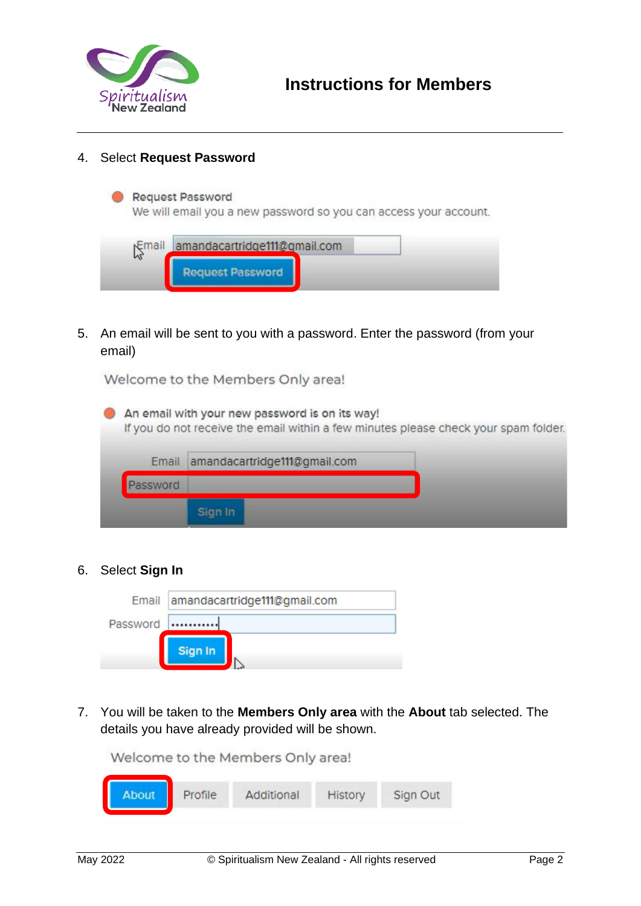

### 4. Select **Request Password**

#### **Request Password**

We will email you a new password so you can access your account.



5. An email will be sent to you with a password. Enter the password (from your email)

Welcome to the Members Only area!



### 6. Select **Sign In**

|          | Email amandacartridge111@gmail.com |
|----------|------------------------------------|
| Password |                                    |
|          | Sign In                            |

7. You will be taken to the **Members Only area** with the **About** tab selected. The details you have already provided will be shown.

Welcome to the Members Only area!

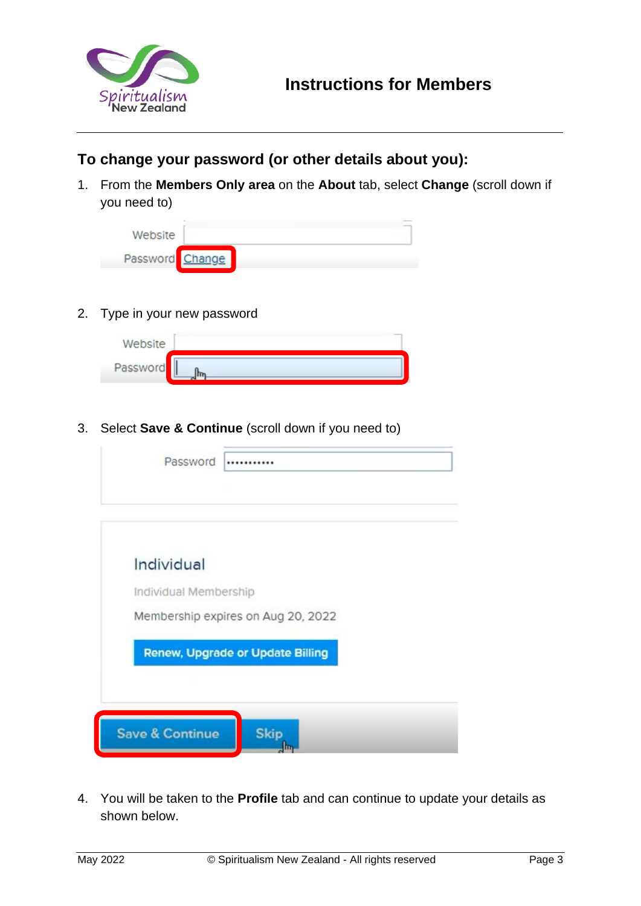

### **To change your password (or other details about you):**

1. From the **Members Only area** on the **About** tab, select **Change** (scroll down if you need to)

| Website         |  |  |
|-----------------|--|--|
| Password Change |  |  |

2. Type in your new password

| Website  |  |
|----------|--|
| Password |  |

3. Select **Save & Continue** (scroll down if you need to)

| Password                            |                                                                               |
|-------------------------------------|-------------------------------------------------------------------------------|
| Individual<br>Individual Membership |                                                                               |
|                                     | Membership expires on Aug 20, 2022<br><b>Renew, Upgrade or Update Billing</b> |
|                                     |                                                                               |
| <b>Save &amp; Continue</b>          | <b>Skip</b>                                                                   |

4. You will be taken to the **Profile** tab and can continue to update your details as shown below.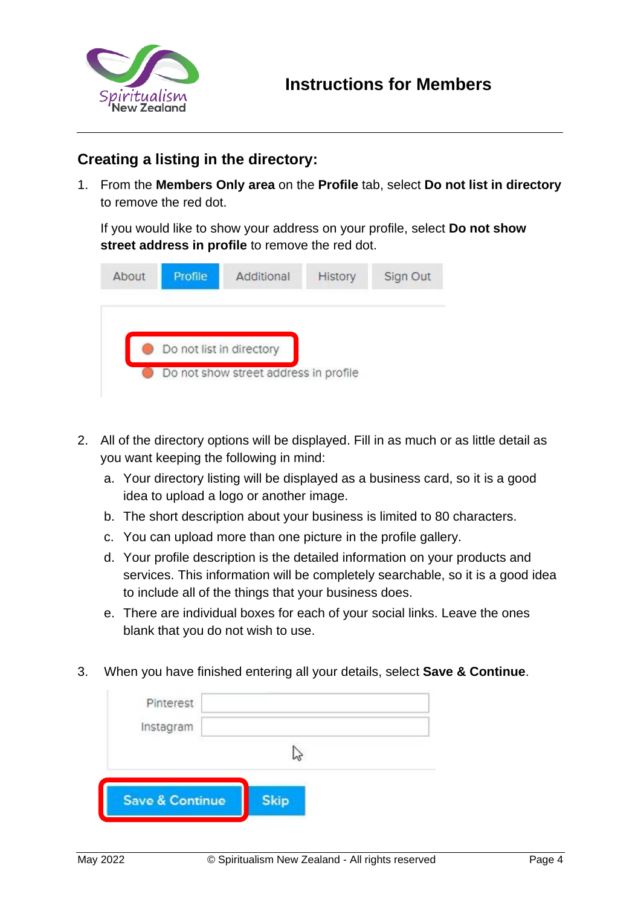

## **Creating a listing in the directory:**

1. From the **Members Only area** on the **Profile** tab, select **Do not list in directory** to remove the red dot.

If you would like to show your address on your profile, select **Do not show street address in profile** to remove the red dot.

| About | Profile                  | Additional                            | History | Sign Out |
|-------|--------------------------|---------------------------------------|---------|----------|
|       |                          |                                       |         |          |
|       | Do not list in directory |                                       |         |          |
|       |                          | Do not show street address in profile |         |          |

- 2. All of the directory options will be displayed. Fill in as much or as little detail as you want keeping the following in mind:
	- a. Your directory listing will be displayed as a business card, so it is a good idea to upload a logo or another image.
	- b. The short description about your business is limited to 80 characters.
	- c. You can upload more than one picture in the profile gallery.
	- d. Your profile description is the detailed information on your products and services. This information will be completely searchable, so it is a good idea to include all of the things that your business does.
	- e. There are individual boxes for each of your social links. Leave the ones blank that you do not wish to use.
- 3. When you have finished entering all your details, select **Save & Continue**.

| Pinterest<br>Instagram     |             |  |
|----------------------------|-------------|--|
|                            |             |  |
| <b>Save &amp; Continue</b> | <b>Skip</b> |  |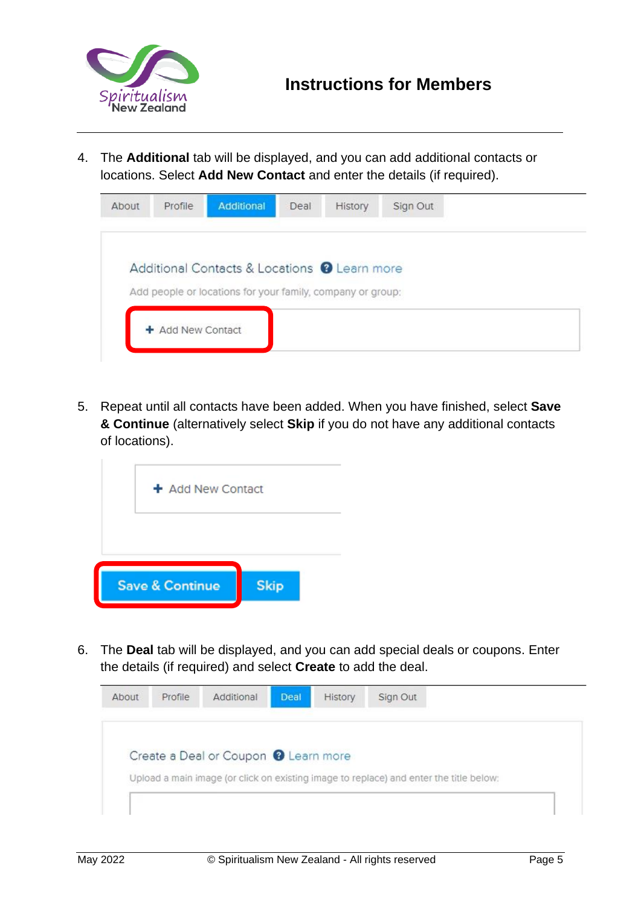

4. The **Additional** tab will be displayed, and you can add additional contacts or locations. Select **Add New Contact** and enter the details (if required).

| Additional Contacts & Locations @ Learn more               |  | History | Deal | Additional | Profile | About |
|------------------------------------------------------------|--|---------|------|------------|---------|-------|
|                                                            |  |         |      |            |         |       |
| Add people or locations for your family, company or group: |  |         |      |            |         |       |

5. Repeat until all contacts have been added. When you have finished, select **Save & Continue** (alternatively select **Skip** if you do not have any additional contacts of locations).

| + Add New Contact          |             |  |
|----------------------------|-------------|--|
|                            |             |  |
| <b>Save &amp; Continue</b> | <b>Skip</b> |  |

6. The **Deal** tab will be displayed, and you can add special deals or coupons. Enter the details (if required) and select **Create** to add the deal.

|  | Create a Deal or Coupon @ Learn more |                                                                                        |  |
|--|--------------------------------------|----------------------------------------------------------------------------------------|--|
|  |                                      | Upload a main image (or click on existing image to replace) and enter the title below: |  |